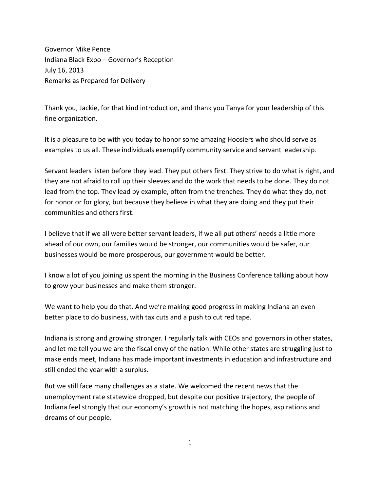Governor Mike Pence Indiana Black Expo – Governor's Reception July 16, 2013 Remarks as Prepared for Delivery

Thank you, Jackie, for that kind introduction, and thank you Tanya for your leadership of this fine organization.

It is a pleasure to be with you today to honor some amazing Hoosiers who should serve as examples to us all. These individuals exemplify community service and servant leadership.

Servant leaders listen before they lead. They put others first. They strive to do what is right, and they are not afraid to roll up their sleeves and do the work that needs to be done. They do not lead from the top. They lead by example, often from the trenches. They do what they do, not for honor or for glory, but because they believe in what they are doing and they put their communities and others first.

I believe that if we all were better servant leaders, if we all put others' needs a little more ahead of our own, our families would be stronger, our communities would be safer, our businesses would be more prosperous, our government would be better.

I know a lot of you joining us spent the morning in the Business Conference talking about how to grow your businesses and make them stronger.

We want to help you do that. And we're making good progress in making Indiana an even better place to do business, with tax cuts and a push to cut red tape.

Indiana is strong and growing stronger. I regularly talk with CEOs and governors in other states, and let me tell you we are the fiscal envy of the nation. While other states are struggling just to make ends meet, Indiana has made important investments in education and infrastructure and still ended the year with a surplus.

But we still face many challenges as a state. We welcomed the recent news that the unemployment rate statewide dropped, but despite our positive trajectory, the people of Indiana feel strongly that our economy's growth is not matching the hopes, aspirations and dreams of our people.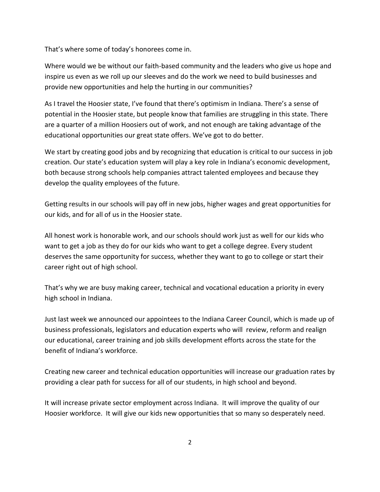That's where some of today's honorees come in.

Where would we be without our faith-based community and the leaders who give us hope and inspire us even as we roll up our sleeves and do the work we need to build businesses and provide new opportunities and help the hurting in our communities?

As I travel the Hoosier state, I've found that there's optimism in Indiana. There's a sense of potential in the Hoosier state, but people know that families are struggling in this state. There are a quarter of a million Hoosiers out of work, and not enough are taking advantage of the educational opportunities our great state offers. We've got to do better.

We start by creating good jobs and by recognizing that education is critical to our success in job creation. Our state's education system will play a key role in Indiana's economic development, both because strong schools help companies attract talented employees and because they develop the quality employees of the future.

Getting results in our schools will pay off in new jobs, higher wages and great opportunities for our kids, and for all of us in the Hoosier state.

All honest work is honorable work, and our schools should work just as well for our kids who want to get a job as they do for our kids who want to get a college degree. Every student deserves the same opportunity for success, whether they want to go to college or start their career right out of high school.

That's why we are busy making career, technical and vocational education a priority in every high school in Indiana.

Just last week we announced our appointees to the Indiana Career Council, which is made up of business professionals, legislators and education experts who will review, reform and realign our educational, career training and job skills development efforts across the state for the benefit of Indiana's workforce.

Creating new career and technical education opportunities will increase our graduation rates by providing a clear path for success for all of our students, in high school and beyond.

It will increase private sector employment across Indiana. It will improve the quality of our Hoosier workforce. It will give our kids new opportunities that so many so desperately need.